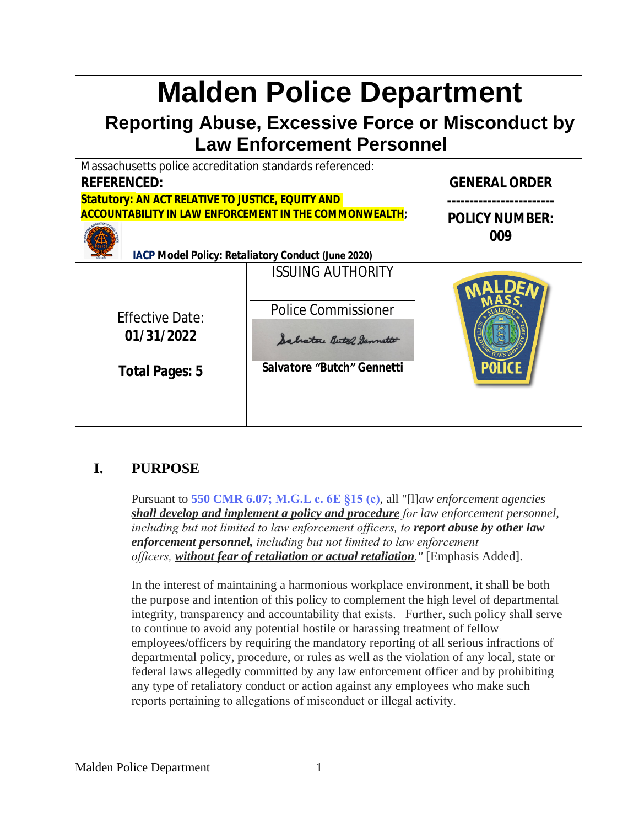| <b>Malden Police Department</b><br><b>Reporting Abuse, Excessive Force or Misconduct by</b><br><b>Law Enforcement Personnel</b>                                                                                                                                          |                                                                                                                   |                                                      |
|--------------------------------------------------------------------------------------------------------------------------------------------------------------------------------------------------------------------------------------------------------------------------|-------------------------------------------------------------------------------------------------------------------|------------------------------------------------------|
| Massachusetts police accreditation standards referenced:<br><b>REFERENCED:</b><br><b>Statutory: AN ACT RELATIVE TO JUSTICE, EQUITY AND</b><br><b>ACCOUNTABILITY IN LAW ENFORCEMENT IN THE COMMONWEALTH;</b><br><b>IACP Model Policy: Retaliatory Conduct (June 2020)</b> |                                                                                                                   | <b>GENERAL ORDER</b><br><b>POLICY NUMBER:</b><br>009 |
| <b>Effective Date:</b><br>01/31/2022<br><b>Total Pages: 5</b>                                                                                                                                                                                                            | <b>ISSUING AUTHORITY</b><br><b>Police Commissioner</b><br>Salvatore Bertol Germetto<br>Salvatore "Butch" Gennetti |                                                      |

# **I. PURPOSE**

Pursuant to **550 CMR 6.07; M.G.L c. 6E §15 (c)**, all "[l]*aw enforcement agencies shall develop and implement a policy and procedure for law enforcement personnel, including but not limited to law enforcement officers, to <i>report abuse by other law enforcement personnel, including but not limited to law enforcement officers, without fear of retaliation or actual retaliation."* [Emphasis Added].

In the interest of maintaining a harmonious workplace environment, it shall be both the purpose and intention of this policy to complement the high level of departmental integrity, transparency and accountability that exists. Further, such policy shall serve to continue to avoid any potential hostile or harassing treatment of fellow employees/officers by requiring the mandatory reporting of all serious infractions of departmental policy, procedure, or rules as well as the violation of any local, state or federal laws allegedly committed by any law enforcement officer and by prohibiting any type of retaliatory conduct or action against any employees who make such reports pertaining to allegations of misconduct or illegal activity.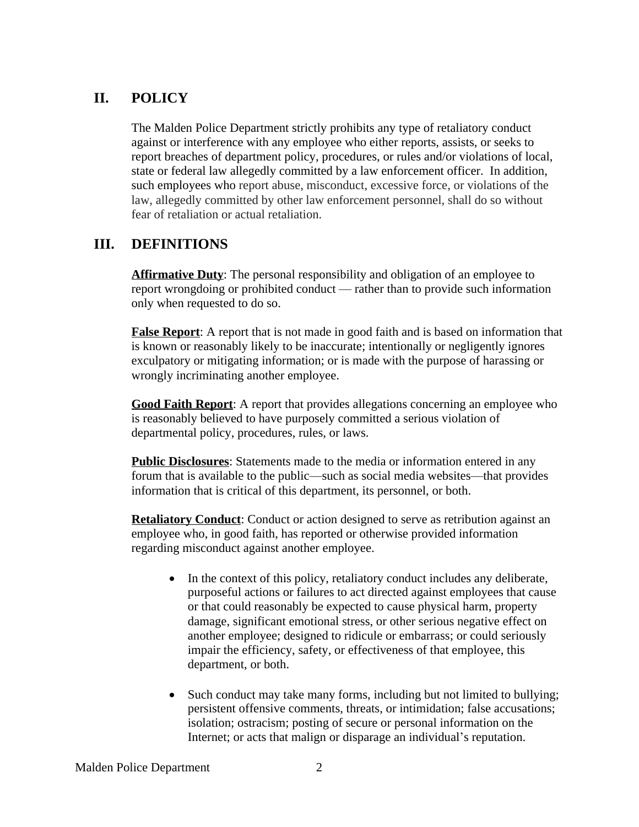## **II. POLICY**

The Malden Police Department strictly prohibits any type of retaliatory conduct against or interference with any employee who either reports, assists, or seeks to report breaches of department policy, procedures, or rules and/or violations of local, state or federal law allegedly committed by a law enforcement officer. In addition, such employees who report abuse, misconduct, excessive force, or violations of the law, allegedly committed by other law enforcement personnel, shall do so without fear of retaliation or actual retaliation.

#### **III. DEFINITIONS**

**Affirmative Duty**: The personal responsibility and obligation of an employee to report wrongdoing or prohibited conduct — rather than to provide such information only when requested to do so.

**False Report**: A report that is not made in good faith and is based on information that is known or reasonably likely to be inaccurate; intentionally or negligently ignores exculpatory or mitigating information; or is made with the purpose of harassing or wrongly incriminating another employee.

**Good Faith Report**: A report that provides allegations concerning an employee who is reasonably believed to have purposely committed a serious violation of departmental policy, procedures, rules, or laws.

**Public Disclosures**: Statements made to the media or information entered in any forum that is available to the public—such as social media websites—that provides information that is critical of this department, its personnel, or both.

**Retaliatory Conduct:** Conduct or action designed to serve as retribution against an employee who, in good faith, has reported or otherwise provided information regarding misconduct against another employee.

- In the context of this policy, retaliatory conduct includes any deliberate, purposeful actions or failures to act directed against employees that cause or that could reasonably be expected to cause physical harm, property damage, significant emotional stress, or other serious negative effect on another employee; designed to ridicule or embarrass; or could seriously impair the efficiency, safety, or effectiveness of that employee, this department, or both.
- Such conduct may take many forms, including but not limited to bullying; persistent offensive comments, threats, or intimidation; false accusations; isolation; ostracism; posting of secure or personal information on the Internet; or acts that malign or disparage an individual's reputation.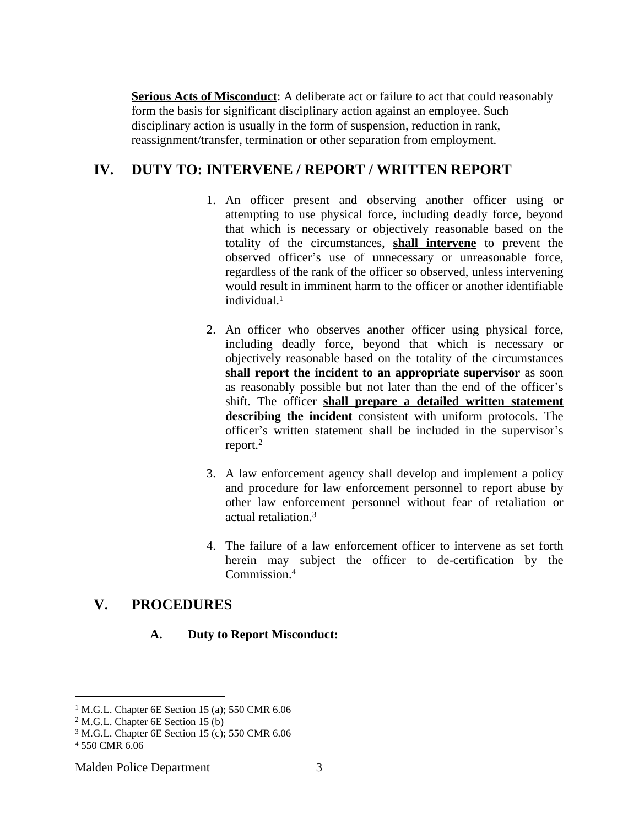**Serious Acts of Misconduct:** A deliberate act or failure to act that could reasonably form the basis for significant disciplinary action against an employee. Such disciplinary action is usually in the form of suspension, reduction in rank, reassignment/transfer, termination or other separation from employment.

### **IV. DUTY TO: INTERVENE / REPORT / WRITTEN REPORT**

- 1. An officer present and observing another officer using or attempting to use physical force, including deadly force, beyond that which is necessary or objectively reasonable based on the totality of the circumstances, **shall intervene** to prevent the observed officer's use of unnecessary or unreasonable force, regardless of the rank of the officer so observed, unless intervening would result in imminent harm to the officer or another identifiable individual.<sup>1</sup>
- 2. An officer who observes another officer using physical force, including deadly force, beyond that which is necessary or objectively reasonable based on the totality of the circumstances **shall report the incident to an appropriate supervisor** as soon as reasonably possible but not later than the end of the officer's shift. The officer **shall prepare a detailed written statement describing the incident** consistent with uniform protocols. The officer's written statement shall be included in the supervisor's report. 2
- 3. A law enforcement agency shall develop and implement a policy and procedure for law enforcement personnel to report abuse by other law enforcement personnel without fear of retaliation or actual retaliation.<sup>3</sup>
- 4. The failure of a law enforcement officer to intervene as set forth herein may subject the officer to de-certification by the Commission.<sup>4</sup>

# **V. PROCEDURES**

#### **A. Duty to Report Misconduct:**

<sup>&</sup>lt;sup>1</sup> M.G.L. Chapter 6E Section 15 (a); 550 CMR 6.06

<sup>2</sup> M.G.L. Chapter 6E Section 15 (b)

<sup>3</sup> M.G.L. Chapter 6E Section 15 (c); 550 CMR 6.06

<sup>4</sup> 550 CMR 6.06

Malden Police Department 3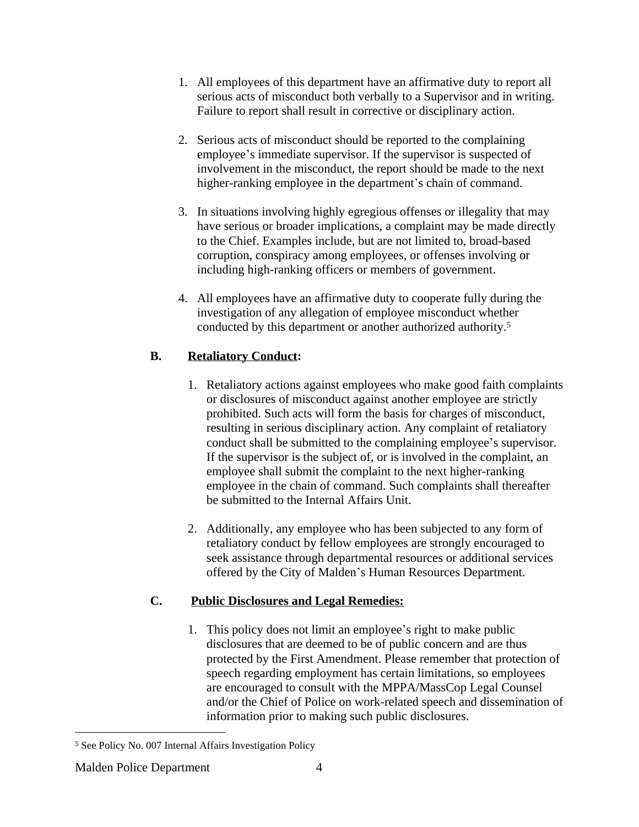- 1. All employees of this department have an affirmative duty to report all serious acts of misconduct both verbally to a Supervisor and in writing. Failure to report shall result in corrective or disciplinary action.
- 2. Serious acts of misconduct should be reported to the complaining employee's immediate supervisor. If the supervisor is suspected of involvement in the misconduct, the report should be made to the next higher-ranking employee in the department's chain of command.
- 3. In situations involving highly egregious offenses or illegality that may have serious or broader implications, a complaint may be made directly to the Chief. Examples include, but are not limited to, broad-based corruption, conspiracy among employees, or offenses involving or including high-ranking officers or members of government.
- 4. All employees have an affirmative duty to cooperate fully during the investigation of any allegation of employee misconduct whether conducted by this department or another authorized authority.<sup>5</sup>

## **B. Retaliatory Conduct:**

- 1. Retaliatory actions against employees who make good faith complaints or disclosures of misconduct against another employee are strictly prohibited. Such acts will form the basis for charges of misconduct, resulting in serious disciplinary action. Any complaint of retaliatory conduct shall be submitted to the complaining employee's supervisor. If the supervisor is the subject of, or is involved in the complaint, an employee shall submit the complaint to the next higher-ranking employee in the chain of command. Such complaints shall thereafter be submitted to the Internal Affairs Unit.
- 2. Additionally, any employee who has been subjected to any form of retaliatory conduct by fellow employees are strongly encouraged to seek assistance through departmental resources or additional services offered by the City of Malden's Human Resources Department.

# **C. Public Disclosures and Legal Remedies:**

1. This policy does not limit an employee's right to make public disclosures that are deemed to be of public concern and are thus protected by the First Amendment. Please remember that protection of speech regarding employment has certain limitations, so employees are encouraged to consult with the MPPA/MassCop Legal Counsel and/or the Chief of Police on work-related speech and dissemination of information prior to making such public disclosures.

<sup>5</sup> See Policy No. 007 Internal Affairs Investigation Policy